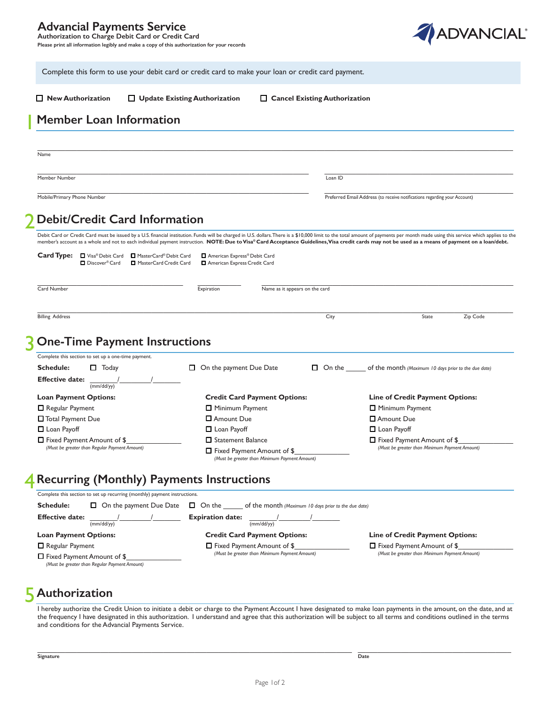### **Advancial Payments Service Authorization to Charge Debit Card or Credit Card**

**Please print all information legibly and make a copy of this authorization for your records** 



Complete this form to use your debit card or credit card to make your loan or credit card payment.

 **New Authorization Update Existing Authorization Cancel Existing Authorization**

## **Member Loan Information**

 $\_$  , and the state of the state of the state of the state of the state of the state of the state of the state of the state of the state of the state of the state of the state of the state of the state of the state of the Name

Member Number Loan ID

\_\_\_\_\_\_\_\_\_\_\_\_\_\_\_\_\_\_\_\_\_\_\_\_\_\_\_\_\_\_\_\_\_\_\_\_\_\_\_\_\_\_\_\_\_\_\_\_\_\_\_\_\_\_\_\_\_\_\_\_\_\_\_\_\_\_\_\_\_ \_\_\_\_\_\_\_\_\_\_\_\_\_\_\_\_\_\_\_\_\_\_\_\_\_\_\_\_\_\_\_\_\_\_\_\_\_\_\_\_\_\_\_\_\_\_\_\_ Mobile/Primary Phone Number **Mobile/Primary Phone Number** Preferred Email Address (to receive notifications regarding your Account)

### 2 **Debit/Credit Card Information**

member's account as a whole and not to each individual payment instruction. **NOTE: Due to Visa® Card Acceptance Guidelines,Visa credit cards may not be used as a means of payment on a loan/debt.** Debit Card or Credit Card must be issued by a U.S. financial institution. Funds will be charged in U.S. dollars. There is a \$10,000 limit to the total amount of payments per month made using this service which applies to t

 $\_$  , and the state of the state of the state of the state of the state of the state of the state of the state of the state of the state of the state of the state of the state of the state of the state of the state of the

| Card Type:<br>■ Visa® Debit Card<br>MasterCard® Debit Card<br>D Discover <sup>®</sup> Card<br>MasterCard Credit Card              | American Express® Debit Card<br>American Express Credit Card |      |                                                                               |          |
|-----------------------------------------------------------------------------------------------------------------------------------|--------------------------------------------------------------|------|-------------------------------------------------------------------------------|----------|
| Card Number                                                                                                                       | Name as it appears on the card<br>Expiration                 |      |                                                                               |          |
| <b>Billing Address</b>                                                                                                            |                                                              | City | State                                                                         | Zip Code |
| <b>R</b> One-Time Payment Instructions<br>Complete this section to set up a one-time payment.<br><b>Schedule:</b><br>$\Box$ Today | On the payment Due Date<br>□                                 |      | $\Box$ On the of the month (Maximum 10 days prior to the due date)            |          |
| <b>Effective date:</b><br>(mm/dd/yy)                                                                                              |                                                              |      |                                                                               |          |
| <b>Loan Payment Options:</b>                                                                                                      | <b>Credit Card Payment Options:</b>                          |      | <b>Line of Credit Payment Options:</b>                                        |          |
| $\Box$ Regular Payment                                                                                                            | □ Minimum Payment                                            |      | □ Minimum Payment                                                             |          |
| □ Total Payment Due                                                                                                               | <b>D</b> Amount Due                                          |      | □ Amount Due                                                                  |          |
| $\Box$ Loan Payoff                                                                                                                | <b>L</b> Loan Payoff                                         |      | Loan Payoff                                                                   |          |
| $\Box$ Fixed Payment Amount of \$<br>(Must be greater than Regular Payment Amount)                                                | □ Statement Balance<br>$\Box$ Fixed Payment Amount of \$     |      | □ Fixed Payment Amount of \$<br>(Must be greater than Minimum Payment Amount) |          |

#### 4 **Recurring (Monthly) Payments Instructions**

| Complete this section to set up recurring (monthly) payment instructions.          |                                                                       |                                               |
|------------------------------------------------------------------------------------|-----------------------------------------------------------------------|-----------------------------------------------|
| <b>Schedule:</b><br>$\Box$ On the payment Due Date                                 | $\Box$ On the<br>of the month (Maximum 10 days prior to the due date) |                                               |
| <b>Effective date:</b><br>(mm/dd/yy)                                               | <b>Expiration date:</b><br>(mm/dd/yy)                                 |                                               |
| <b>Loan Payment Options:</b>                                                       | <b>Credit Card Payment Options:</b>                                   | <b>Line of Credit Payment Options:</b>        |
| $\Box$ Regular Payment                                                             | $\Box$ Fixed Payment Amount of \$                                     | □ Fixed Payment Amount of \$                  |
| $\Box$ Fixed Payment Amount of \$<br>(Must be greater than Regular Payment Amount) | (Must be greater than Minimum Payment Amount)                         | (Must be greater than Minimum Payment Amount) |

 *(Must be greater than Minimum Payment Amount)* 

# **Authorization**  5

I hereby authorize the Credit Union to initiate a debit or charge to the Payment Account I have designated to make loan payments in the amount, on the date, and at the frequency I have designated in this authorization. I understand and agree that this authorization will be subject to all terms and conditions outlined in the terms and conditions for the Advancial Payments Service.